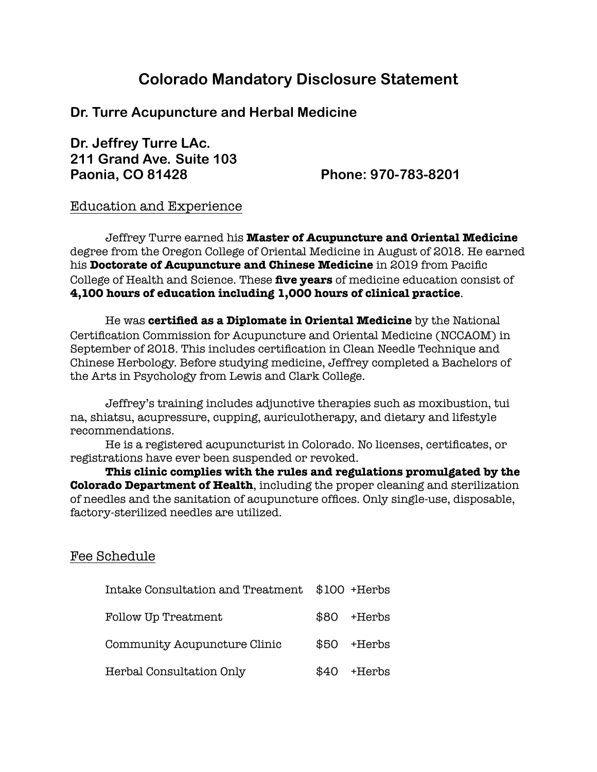# **Colorado Mandatory Disclosure Statement**

## **Dr. Turre Acupuncture and Herbal Medicine**

## **Dr. Jeffrey Turre LAc. 211 Grand Ave. Suite 103 Paonia, CO 81428 Phone: 970-783-8201**

#### Education and Experience

Jeffrey Turre earned his **Master of Acupuncture and Oriental Medicine** degree from the Oregon College of Oriental Medicine in August of 2018. He earned his **Doctorate of Acupuncture and Chinese Medicine** in 2019 from Pacific College of Health and Science. These **five years** of medicine education consist of **4,100 hours of education including 1,000 hours of clinical practice**.

He was **certified as a Diplomate in Oriental Medicine** by the National Certification Commission for Acupuncture and Oriental Medicine (NCCAOM) in September of 2018. This includes certification in Clean Needle Technique and Chinese Herbology. Before studying medicine, Jeffrey completed a Bachelors of the Arts in Psychology from Lewis and Clark College.

Jeffrey's training includes adjunctive therapies such as moxibustion, tui na, shiatsu, acupressure, cupping, auriculotherapy, and dietary and lifestyle recommendations.

He is a registered acupuncturist in Colorado. No licenses, certificates, or registrations have ever been suspended or revoked.

**This clinic complies with the rules and regulations promulgated by the Colorado Department of Health**, including the proper cleaning and sterilization of needles and the sanitation of acupuncture offices. Only single-use, disposable, factory-sterilized needles are utilized.

#### Fee Schedule

| Intake Consultation and Treatment \$100 +Herbs |      |              |
|------------------------------------------------|------|--------------|
| Follow Up Treatment                            | \$80 | +Herbs       |
| Community Acupuncture Clinic                   | \$50 | +Herbs       |
| Herbal Consultation Only                       |      | $$40$ +Herbs |